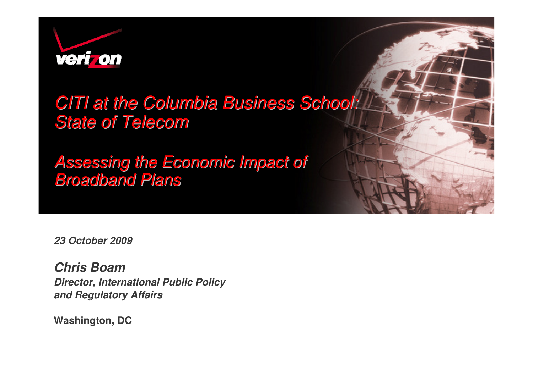

## CITI at the Columbia Business School: State of Telecom

#### Assessing the Economic Impact of Broadband Plans

*23 October 2009*

*Chris Boam Director, International Public Policyand Regulatory Affairs*

**Washington, DC**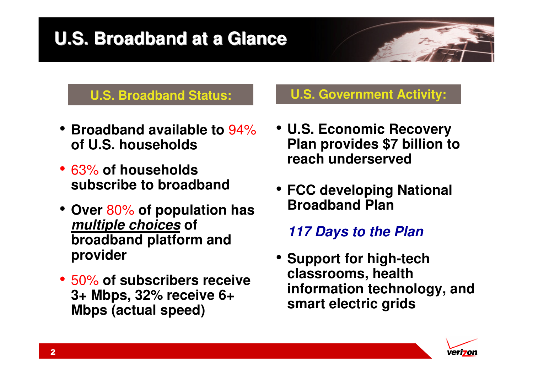## **U.S. Broadband at a Glance**

#### **U.S. Broadband Status:**

- **Broadband available to** 94%**of U.S. households**
- 63% **of households subscribe to broadband**
- **Over** 80% **of population has**  *multiple choices* **of broadband platform and provider**
- 50% **of subscribers receive 3+ Mbps, 32% receive 6+ Mbps (actual speed)**

#### **U.S. Government Activity:**

- **U.S. Economic Recovery Plan provides \$7 billion to reach underserved**
- **FCC developing National Broadband Plan**

#### *117 Days to the Plan*

• **Support for high-tech classrooms, health information technology, and smart electric grids**

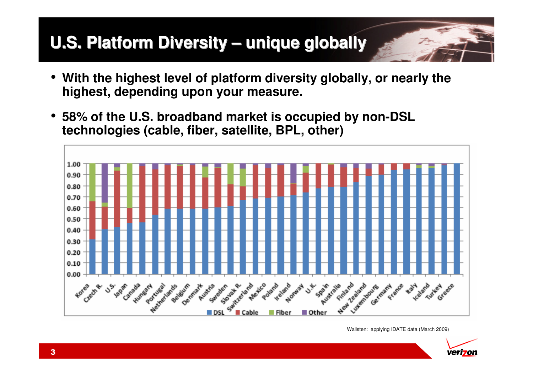# **U.S. Platform Diversity – unique globally**

- **With the highest level of platform diversity globally, or nearly the highest, depending upon your measure.**
- • **58% of the U.S. broadband market is occupied by non-DSL technologies (cable, fiber, satellite, BPL, other)**



Wallsten: applying IDATE data (March 2009)

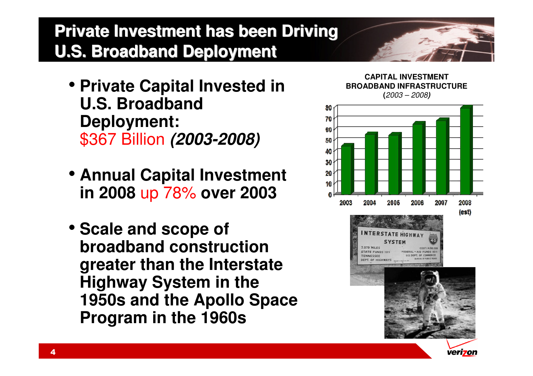## **Private Investment has been Driving U.S. Broadband Deployment**

- **Private Capital Invested in U.S. Broadband Deployment:**\$367 Billion *(2003-2008)*
- **Annual Capital Investment in 2008** up 78% **over 2003**
- **Scale and scope of broadband construction greater than the Interstate Highway System in the 1950s and the Apollo Space Program in the 1960s**



**CAPITAL INVESTMENT BROADBAND INFRASTRUCTURE (**2003 – 2008*)*



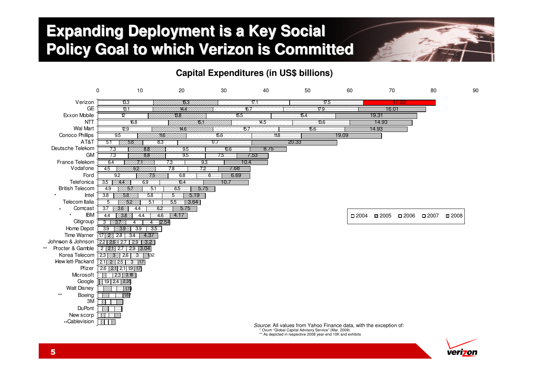#### **Expanding Deployment is a Key Social Policy Goal to which Verizon is Committed**



#### **Capital Expenditures (in US\$ billions)**



\* Ovum "Global Capital Advisory Service" (Mar. 2009)

\*\* As depicted in respective 2008 year-end 10K and exhibits

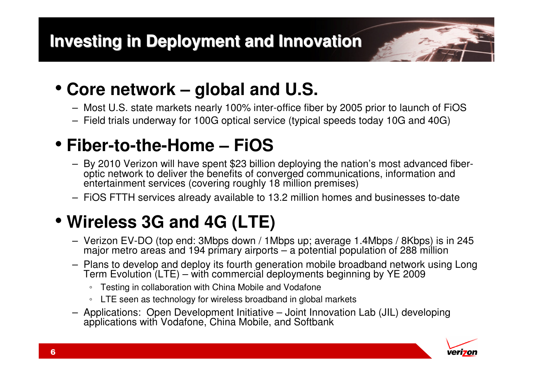

- Most U.S. state markets nearly 100% inter-office fiber by 2005 prior to launch of FiOS
- Field trials underway for 100G optical service (typical speeds today 10G and 40G)

# • **Fiber-to-the-Home – FiOS**

- By 2010 Verizon will have spent \$23 billion deploying the nation's most advanced fiberoptic network to deliver the benefits of converged communications, information and entertainment services (covering roughly 18 million premises)
- FiOS FTTH services already available to 13.2 million homes and businesses to-date

## • **Wireless 3G and 4G (LTE)**

- Verizon EV-DO (top end: 3Mbps down / 1Mbps up; average 1.4Mbps / 8Kbps) is in 245 major metro areas and 194 primary airports – a potential population of 288 million
- Plans to develop and deploy its fourth generation mobile broadband network using Long Term Evolution (LTE) – with commercial deployments beginning by YE 2009
	- Testing in collaboration with China Mobile and Vodafone
	- LTE seen as technology for wireless broadband in global markets
- Applications: Open Development Initiative Joint Innovation Lab (JIL) developing applications with Vodafone, China Mobile, and Softbank

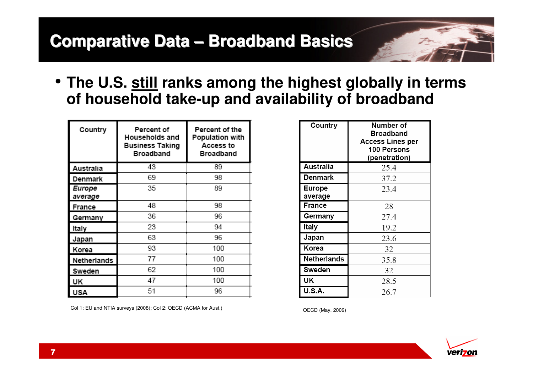# **Comparative Data – Broadband Basics**

• **The U.S. still ranks among the highest globally in terms of household take-up and availability of broadband**

| Country           | Percent of<br>Households and<br><b>Business Taking</b><br><b>Broadband</b> | Percent of the<br><b>Population with</b><br>Access to<br><b>Broadband</b> |
|-------------------|----------------------------------------------------------------------------|---------------------------------------------------------------------------|
| Australia         | 43                                                                         | 89                                                                        |
| Denmark           | 69                                                                         | 98                                                                        |
| Europe<br>average | 35                                                                         | 89                                                                        |
| France            | 48                                                                         | 98                                                                        |
| Germany           | 36                                                                         | 96                                                                        |
| Italy             | 23                                                                         | 94                                                                        |
| Japan             | 63                                                                         | 96                                                                        |
| Korea             | 93                                                                         | 100                                                                       |
| Netherlands       | 77                                                                         | 100                                                                       |
| Sweden            | 62                                                                         | 100                                                                       |
| UK                | 47                                                                         | 100                                                                       |
| USA               | 51                                                                         | 96                                                                        |

Col 1: EU and NTIA surveys (2008); Col 2: OECD (ACMA for Aust.)

| Country                  | Number of<br><b>Broadband</b><br><b>Access Lines per</b><br>100 Persons<br>(penetration) |
|--------------------------|------------------------------------------------------------------------------------------|
| Australia                | 25.4                                                                                     |
| <b>Denmark</b>           | 37.2                                                                                     |
| <b>Europe</b><br>average | 23.4                                                                                     |
| <b>France</b>            | 28                                                                                       |
| Germany                  | 27.4                                                                                     |
| Italy                    | 19.2                                                                                     |
| Japan                    | 23.6                                                                                     |
| Korea                    | 32                                                                                       |
| <b>Netherlands</b>       | 35.8                                                                                     |
| Sweden                   | 32                                                                                       |
| UK                       | 28.5                                                                                     |
| <b>U.S.A.</b>            | 26.7                                                                                     |

OECD (May. 2009)

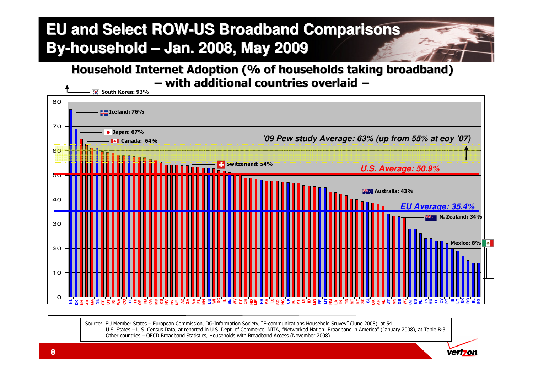## **EU and Select ROW-US Broadband ComparisonsBy-household – Jan. 2008, May 2009**

**Household Internet Adoption (% of households taking broadband)– with additional countries overlaid −**



Other countries – OECD Broadband Statistics, Households with Broadband Access (November 2008).

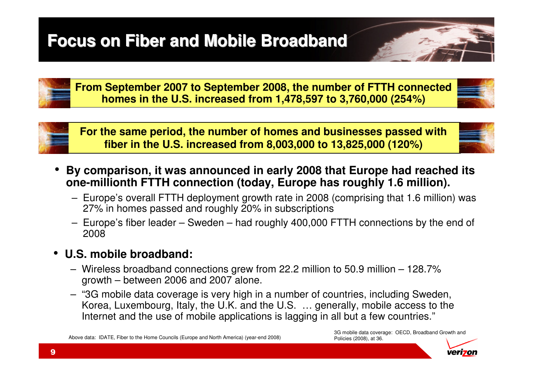## **Focus on Fiber and Mobile Broadband**

**From September 2007 to September 2008, the number of FTTH connected homes in the U.S. increased from 1,478,597 to 3,760,000 (254%)**



- **By comparison, it was announced in early 2008 that Europe had reached its**
- **one-millionth FTTH connection (today, Europe has roughly 1.6 million).**– Europe's overall FTTH deployment growth rate in 2008 (comprising that 1.6 million) was 27% in homes passed and roughly 20% in subscriptions
	- Europe's fiber leader Sweden had roughly 400,000 FTTH connections by the end of 2008
- **U.S. mobile broadband:**
	- Wireless broadband connections grew from 22.2 million to 50.9 million 128.7% growth – between 2006 and 2007 alone.
	- "3G mobile data coverage is very high in a number of countries, including Sweden, Korea, Luxembourg, Italy, the U.K. and the U.S. … generally, mobile access to the Internet and the use of mobile applications is lagging in all but a few countries."

Above data: IDATE, Fiber to the Home Councils (Europe and North America) (year-end 2008)

3G mobile data coverage: OECD, Broadband Growth and Policies (2008), at 36.



•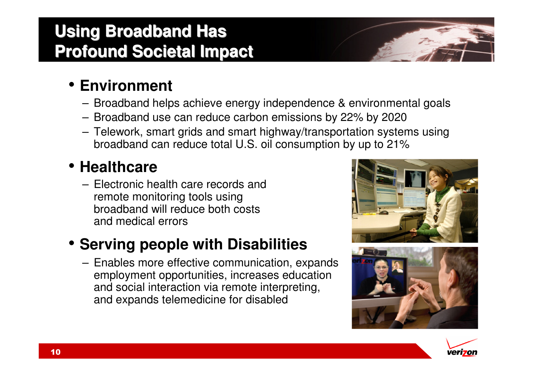## **Using Broadband Has Profound Societal Impact**

## • **Environment**

- Broadband helps achieve energy independence & environmental goals
- Broadband use can reduce carbon emissions by 22% by 2020
- Telework, smart grids and smart highway/transportation systems using broadband can reduce total U.S. oil consumption by up to 21%

## • **Healthcare**

 – Electronic health care records and remote monitoring tools using broadband will reduce both costs and medical errors

## • **Serving people with Disabilities**

 – Enables more effective communication, expands employment opportunities, increases education and social interaction via remote interpreting, and expands telemedicine for disabled





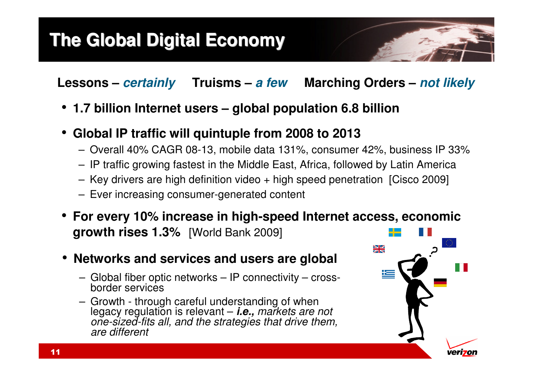## **The Global Digital Economy**

**Lessons –** *certainly* **Truisms –** *a few* **Marching Orders –** *not likely*

- **1.7 billion Internet users – global population 6.8 billion**
- **Global IP traffic will quintuple from 2008 to 2013** 
	- Overall 40% CAGR 08-13, mobile data 131%, consumer 42%, business IP 33%
	- IP traffic growing fastest in the Middle East, Africa, followed by Latin America
	- Key drivers are high definition video + high speed penetration [Cisco 2009]
	- Ever increasing consumer-generated content
- **For every 10% increase in high-speed Internet access, economic growth rises 1.3%** [World Bank 2009]
- **Networks and services and users are global**
	- Global fiber optic networks IP connectivity crossborder services
	- Growth through careful understanding of when legacy regulation is relevant – *i.e.,* markets are not one-sized-fits all, and the strategies that drive them, are different